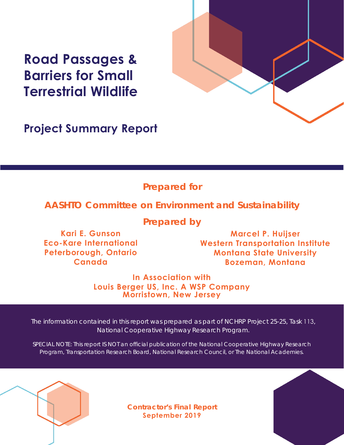# **Road Passages & Barriers for Small Terrestrial Wildlife**



**Project Summary Report**

## **Prepared for**

## **AASHTO Committee on Environment and Sustainability**

**Prepared by**

**Kari E. Gunson Eco-Kare International Peterborough, Ontario Canada**

**Marcel P. Huijser Western Transportation Institute Montana State University Bozeman, Montana**

**In Association with Louis Berger US, Inc. A WSP Company Morristown, New Jersey**

The information contained in this report was prepared as part of NCHRP Project 25-25, Task 113, National Cooperative Highway Research Program.

SPECIAL NOTE: This report IS NOT an official publication of the National Cooperative Highway Research Program, Transportation Research Board, National Research Council, or The National Academies.

**Contractor's Final Report September 2019**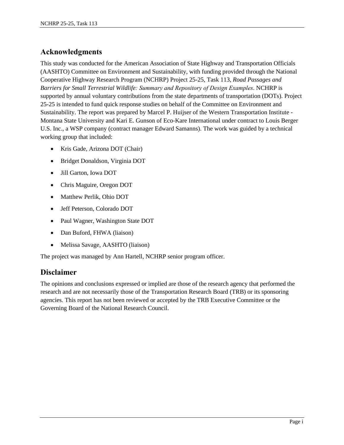## **Acknowledgments**

This study was conducted for the American Association of State Highway and Transportation Officials (AASHTO) Committee on Environment and Sustainability, with funding provided through the National Cooperative Highway Research Program (NCHRP) Project 25-25, Task 113, *Road Passages and Barriers for Small Terrestrial Wildlife: Summary and Repository of Design Examples*. NCHRP is supported by annual voluntary contributions from the state departments of transportation (DOTs). Project 25-25 is intended to fund quick response studies on behalf of the Committee on Environment and Sustainability. The report was prepared by Marcel P. Huijser of the Western Transportation Institute - Montana State University and Kari E. Gunson of Eco-Kare International under contract to Louis Berger U.S. Inc., a WSP company (contract manager Edward Samanns). The work was guided by a technical working group that included:

- Kris Gade, Arizona DOT (Chair)
- Bridget Donaldson, Virginia DOT
- Jill Garton, Iowa DOT
- Chris Maguire, Oregon DOT
- Matthew Perlik, Ohio DOT
- Jeff Peterson, Colorado DOT
- Paul Wagner, Washington State DOT
- Dan Buford, FHWA (liaison)
- Melissa Savage, AASHTO (liaison)

The project was managed by Ann Hartell, NCHRP senior program officer.

## **Disclaimer**

The opinions and conclusions expressed or implied are those of the research agency that performed the research and are not necessarily those of the Transportation Research Board (TRB) or its sponsoring agencies. This report has not been reviewed or accepted by the TRB Executive Committee or the Governing Board of the National Research Council.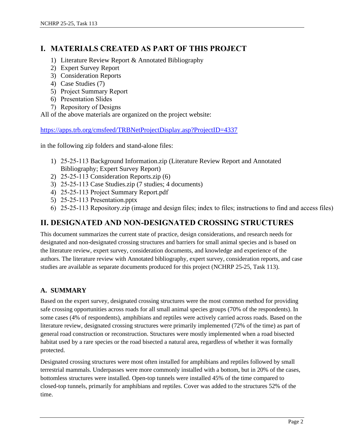## **I. MATERIALS CREATED AS PART OF THIS PROJECT**

- 1) Literature Review Report & Annotated Bibliography
- 2) Expert Survey Report
- 3) Consideration Reports
- 4) Case Studies (7)
- 5) Project Summary Report
- 6) Presentation Slides
- 7) Repository of Designs

All of the above materials are organized on the project website:

<https://apps.trb.org/cmsfeed/TRBNetProjectDisplay.asp?ProjectID=4337>

in the following zip folders and stand-alone files:

- 1) 25-25-113 Background Information.zip (Literature Review Report and Annotated Bibliography; Expert Survey Report)
- 2) 25-25-113 Consideration Reports.zip (6)
- 3) 25-25-113 Case Studies.zip (7 studies; 4 documents)
- 4) 25-25-113 Project Summary Report.pdf
- 5) 25-25-113 Presentation.pptx
- 6) 25-25-113 Repository.zip (image and design files; index to files; instructions to find and access files)

## **II. DESIGNATED AND NON-DESIGNATED CROSSING STRUCTURES**

This document summarizes the current state of practice, design considerations, and research needs for designated and non-designated crossing structures and barriers for small animal species and is based on the literature review, expert survey, consideration documents, and knowledge and experience of the authors. The literature review with Annotated bibliography, expert survey, consideration reports, and case studies are available as separate documents produced for this project (NCHRP 25-25, Task 113).

#### **A. SUMMARY**

Based on the expert survey, designated crossing structures were the most common method for providing safe crossing opportunities across roads for all small animal species groups (70% of the respondents). In some cases (4% of respondents), amphibians and reptiles were actively carried across roads. Based on the literature review, designated crossing structures were primarily implemented (72% of the time) as part of general road construction or reconstruction. Structures were mostly implemented when a road bisected habitat used by a rare species or the road bisected a natural area, regardless of whether it was formally protected.

Designated crossing structures were most often installed for amphibians and reptiles followed by small terrestrial mammals. Underpasses were more commonly installed with a bottom, but in 20% of the cases, bottomless structures were installed. Open-top tunnels were installed 45% of the time compared to closed-top tunnels, primarily for amphibians and reptiles. Cover was added to the structures 52% of the time.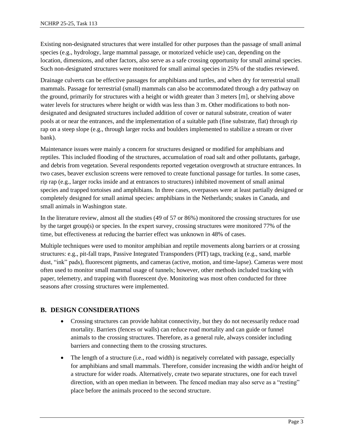Existing non-designated structures that were installed for other purposes than the passage of small animal species (e.g., hydrology, large mammal passage, or motorized vehicle use) can, depending on the location, dimensions, and other factors, also serve as a safe crossing opportunity for small animal species. Such non-designated structures were monitored for small animal species in 25% of the studies reviewed.

Drainage culverts can be effective passages for amphibians and turtles, and when dry for terrestrial small mammals. Passage for terrestrial (small) mammals can also be accommodated through a dry pathway on the ground, primarily for structures with a height or width greater than 3 meters [m], or shelving above water levels for structures where height or width was less than 3 m. Other modifications to both nondesignated and designated structures included addition of cover or natural substrate, creation of water pools at or near the entrances, and the implementation of a suitable path (fine substrate, flat) through rip rap on a steep slope (e.g., through larger rocks and boulders implemented to stabilize a stream or river bank).

Maintenance issues were mainly a concern for structures designed or modified for amphibians and reptiles. This included flooding of the structures, accumulation of road salt and other pollutants, garbage, and debris from vegetation. Several respondents reported vegetation overgrowth at structure entrances. In two cases, beaver exclusion screens were removed to create functional passage for turtles. In some cases, rip rap (e.g., larger rocks inside and at entrances to structures) inhibited movement of small animal species and trapped tortoises and amphibians. In three cases, overpasses were at least partially designed or completely designed for small animal species: amphibians in the Netherlands; snakes in Canada, and small animals in Washington state.

In the literature review, almost all the studies (49 of 57 or 86%) monitored the crossing structures for use by the target group(s) or species. In the expert survey, crossing structures were monitored 77% of the time, but effectiveness at reducing the barrier effect was unknown in 48% of cases.

Multiple techniques were used to monitor amphibian and reptile movements along barriers or at crossing structures: e.g., pit-fall traps, Passive Integrated Transponders (PIT) tags, tracking (e.g., sand, marble dust, "ink" pads), fluorescent pigments, and cameras (active, motion, and time-lapse). Cameras were most often used to monitor small mammal usage of tunnels; however, other methods included tracking with paper, telemetry, and trapping with fluorescent dye. Monitoring was most often conducted for three seasons after crossing structures were implemented.

#### **B. DESIGN CONSIDERATIONS**

- Crossing structures can provide habitat connectivity, but they do not necessarily reduce road mortality. Barriers (fences or walls) can reduce road mortality and can guide or funnel animals to the crossing structures. Therefore, as a general rule, always consider including barriers and connecting them to the crossing structures.
- The length of a structure (i.e., road width) is negatively correlated with passage, especially for amphibians and small mammals. Therefore, consider increasing the width and/or height of a structure for wider roads. Alternatively, create two separate structures, one for each travel direction, with an open median in between. The fenced median may also serve as a "resting" place before the animals proceed to the second structure.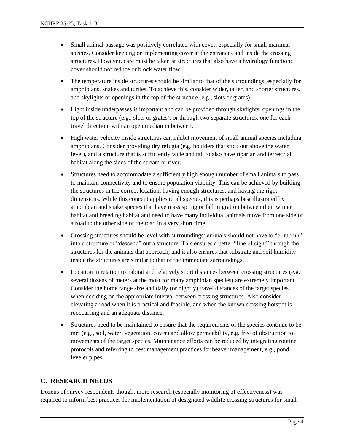- Small animal passage was positively correlated with cover, especially for small mammal species. Consider keeping or implementing cover at the entrances and inside the crossing structures. However, care must be taken at structures that also have a hydrology function; cover should not reduce or block water flow.
- The temperature inside structures should be similar to that of the surroundings, especially for amphibians, snakes and turtles. To achieve this, consider wider, taller, and shorter structures, and skylights or openings in the top of the structure (e.g., slots or grates).
- Light inside underpasses is important and can be provided through skylights, openings in the top of the structure (e.g., slots or grates), or through two separate structures, one for each travel direction, with an open median in between.
- High water velocity inside structures can inhibit movement of small animal species including amphibians. Consider providing dry refugia (e.g. boulders that stick out above the water level), and a structure that is sufficiently wide and tall to also have riparian and terrestrial habitat along the sides of the stream or river.
- Structures need to accommodate a sufficiently high enough number of small animals to pass to maintain connectivity and to ensure population viability. This can be achieved by building the structures in the correct location, having enough structures, and having the right dimensions. While this concept applies to all species, this is perhaps best illustrated by amphibian and snake species that have mass spring or fall migration between their winter habitat and breeding habitat and need to have many individual animals move from one side of a road to the other side of the road in a very short time.
- Crossing structures should be level with surroundings; animals should not have to "climb up" into a structure or "descend" out a structure. This ensures a better "line of sight" through the structures for the animals that approach, and it also ensures that substrate and soil humidity inside the structures are similar to that of the immediate surroundings.
- Location in relation to habitat and relatively short distances between crossing structures (e.g. several dozens of meters at the most for many amphibian species) are extremely important. Consider the home range size and daily (or nightly) travel distances of the target species when deciding on the appropriate interval between crossing structures. Also consider elevating a road when it is practical and feasible, and when the known crossing hotspot is reoccurring and an adequate distance.
- Structures need to be maintained to ensure that the requirements of the species continue to be met (e.g., soil, water, vegetation, cover) and allow permeability, e.g. free of obstruction to movements of the target species. Maintenance efforts can be reduced by integrating routine protocols and referring to best management practices for beaver management, e.g., pond leveler pipes.

#### **C. RESEARCH NEEDS**

Dozens of survey respondents thought more research (especially monitoring of effectiveness) was required to inform best practices for implementation of designated wildlife crossing structures for small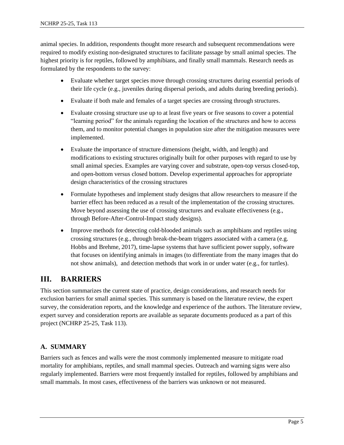animal species. In addition, respondents thought more research and subsequent recommendations were required to modify existing non-designated structures to facilitate passage by small animal species. The highest priority is for reptiles, followed by amphibians, and finally small mammals. Research needs as formulated by the respondents to the survey:

- Evaluate whether target species move through crossing structures during essential periods of their life cycle (e.g., juveniles during dispersal periods, and adults during breeding periods).
- Evaluate if both male and females of a target species are crossing through structures.
- Evaluate crossing structure use up to at least five years or five seasons to cover a potential "learning period" for the animals regarding the location of the structures and how to access them, and to monitor potential changes in population size after the mitigation measures were implemented.
- Evaluate the importance of structure dimensions (height, width, and length) and modifications to existing structures originally built for other purposes with regard to use by small animal species. Examples are varying cover and substrate, open-top versus closed-top, and open-bottom versus closed bottom. Develop experimental approaches for appropriate design characteristics of the crossing structures
- Formulate hypotheses and implement study designs that allow researchers to measure if the barrier effect has been reduced as a result of the implementation of the crossing structures. Move beyond assessing the use of crossing structures and evaluate effectiveness (e.g., through Before-After-Control-Impact study designs).
- Improve methods for detecting cold-blooded animals such as amphibians and reptiles using crossing structures (e.g., through break-the-beam triggers associated with a camera (e.g. Hobbs and Brehme, 2017), time-lapse systems that have sufficient power supply, software that focuses on identifying animals in images (to differentiate from the many images that do not show animals), and detection methods that work in or under water (e.g., for turtles).

## **III. BARRIERS**

This section summarizes the current state of practice, design considerations, and research needs for exclusion barriers for small animal species. This summary is based on the literature review, the expert survey, the consideration reports, and the knowledge and experience of the authors. The literature review, expert survey and consideration reports are available as separate documents produced as a part of this project (NCHRP 25-25, Task 113).

## **A. SUMMARY**

Barriers such as fences and walls were the most commonly implemented measure to mitigate road mortality for amphibians, reptiles, and small mammal species. Outreach and warning signs were also regularly implemented. Barriers were most frequently installed for reptiles, followed by amphibians and small mammals. In most cases, effectiveness of the barriers was unknown or not measured.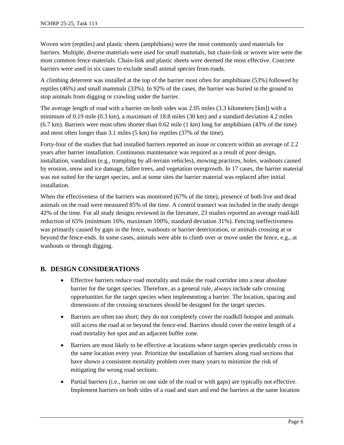Woven wire (reptiles) and plastic sheets (amphibians) were the most commonly used materials for barriers. Multiple, diverse materials were used for small mammals, but chain-link or woven wire were the most common fence materials. Chain-link and plastic sheets were deemed the most effective. Concrete barriers were used in six cases to exclude small animal species from roads.

A climbing deterrent was installed at the top of the barrier most often for amphibians (53%) followed by reptiles (46%) and small mammals (33%). In 92% of the cases, the barrier was buried in the ground to stop animals from digging or crawling under the barrier.

The average length of road with a barrier on both sides was 2.05 miles (3.3 kilometers [km]) with a minimum of 0.19 mile (0.3 km), a maximum of 18.8 miles (30 km) and a standard deviation 4.2 miles (6.7 km). Barriers were most often shorter than 0.62 mile (1 km) long for amphibians (43% of the time) and most often longer than 3.1 miles (5 km) for reptiles (37% of the time).

Forty-four of the studies that had installed barriers reported an issue or concern within an average of 2.2 years after barrier installation. Continuous maintenance was required as a result of poor design, installation, vandalism (e.g., trampling by all-terrain vehicles), mowing practices, holes, washouts caused by erosion, snow and ice damage, fallen trees, and vegetation overgrowth. In 17 cases, the barrier material was not suited for the target species, and at some sites the barrier material was replaced after initial installation.

When the effectiveness of the barriers was monitored (67% of the time), presence of both live and dead animals on the road were measured 85% of the time. A control transect was included in the study design 42% of the time. For all study designs reviewed in the literature, 23 studies reported an average road-kill reduction of 65% (minimum 16%, maximum 100%, standard deviation 31%). Fencing ineffectiveness was primarily caused by gaps in the fence, washouts or barrier deterioration, or animals crossing at or beyond the fence-ends. In some cases, animals were able to climb over or move under the fence, e.g., at washouts or through digging.

## **B. DESIGN CONSIDERATIONS**

- Effective barriers reduce road mortality and make the road corridor into a near absolute barrier for the target species. Therefore, as a general rule, always include safe crossing opportunities for the target species when implementing a barrier. The location, spacing and dimensions of the crossing structures should be designed for the target species.
- Barriers are often too short; they do not completely cover the roadkill hotspot and animals still access the road at or beyond the fence-end. Barriers should cover the entire length of a road mortality hot spot and an adjacent buffer zone.
- Barriers are most likely to be effective at locations where target species predictably cross in the same location every year. Prioritize the installation of barriers along road sections that have shown a consistent mortality problem over many years to minimize the risk of mitigating the wrong road sections.
- Partial barriers (i.e., barrier on one side of the road or with gaps) are typically not effective. Implement barriers on both sides of a road and start and end the barriers at the same location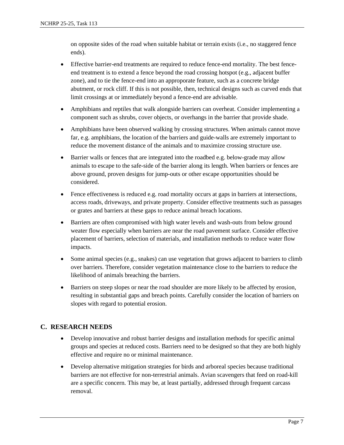on opposite sides of the road when suitable habitat or terrain exists (i.e., no staggered fence ends).

- Effective barrier-end treatments are required to reduce fence-end mortality. The best fenceend treatment is to extend a fence beyond the road crossing hotspot (e.g., adjacent buffer zone), and to tie the fence-end into an approporate feature, such as a concrete bridge abutment, or rock cliff. If this is not possible, then, technical designs such as curved ends that limit crossings at or immediately beyond a fence-end are advisable.
- Amphibians and reptiles that walk alongside barriers can overheat. Consider implementing a component such as shrubs, cover objects, or overhangs in the barrier that provide shade.
- Amphibians have been observed walking by crossing structures. When animals cannot move far, e.g. amphibians, the location of the barriers and guide-walls are extremely important to reduce the movement distance of the animals and to maximize crossing structure use.
- Barrier walls or fences that are integrated into the roadbed e.g. below-grade may allow animals to escape to the safe-side of the barrier along its length. When barriers or fences are above ground, proven designs for jump-outs or other escape opportunities should be considered.
- Fence effectiveness is reduced e.g. road mortality occurs at gaps in barriers at intersections, access roads, driveways, and private property. Consider effective treatments such as passages or grates and barriers at these gaps to reduce animal breach locations.
- Barriers are often compromised with high water levels and wash-outs from below ground weater flow especially when barriers are near the road pavement surface. Consider effective placement of barriers, selection of materials, and installation methods to reduce water flow impacts.
- Some animal species (e.g., snakes) can use vegetation that grows adjacent to barriers to climb over barriers. Therefore, consider vegetation maintenance close to the barriers to reduce the likelihood of animals breaching the barriers.
- Barriers on steep slopes or near the road shoulder are more likely to be affected by erosion, resulting in substantial gaps and breach points. Carefully consider the location of barriers on slopes with regard to potential erosion.

#### **C. RESEARCH NEEDS**

- Develop innovative and robust barrier designs and installation methods for specific animal groups and species at reduced costs. Barriers need to be designed so that they are both highly effective and require no or minimal maintenance.
- Develop alternative mitigation strategies for birds and arboreal species because traditional barriers are not effective for non-terrestrial animals. Avian scavengers that feed on road-kill are a specific concern. This may be, at least partially, addressed through frequent carcass removal.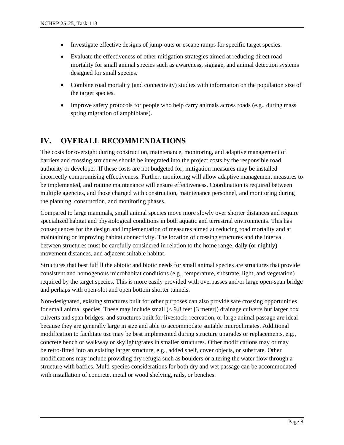- Investigate effective designs of jump-outs or escape ramps for specific target species.
- Evaluate the effectiveness of other mitigation strategies aimed at reducing direct road mortality for small animal species such as awareness, signage, and animal detection systems designed for small species.
- Combine road mortality (and connectivity) studies with information on the population size of the target species.
- Improve safety protocols for people who help carry animals across roads (e.g., during mass spring migration of amphibians).

## **IV. OVERALL RECOMMENDATIONS**

The costs for oversight during construction, maintenance, monitoring, and adaptive management of barriers and crossing structures should be integrated into the project costs by the responsible road authority or developer. If these costs are not budgeted for, mitigation measures may be installed incorrectly compromising effectiveness. Further, monitoring will allow adaptive management measures to be implemented, and routine maintenance will ensure effectiveness. Coordination is required between multiple agencies, and those charged with construction, maintenance personnel, and monitoring during the planning, construction, and monitoring phases.

Compared to large mammals, small animal species move more slowly over shorter distances and require specialized habitat and physiological conditions in both aquatic and terrestrial environments. This has consequences for the design and implementation of measures aimed at reducing road mortality and at maintaining or improving habitat connectivity. The location of crossing structures and the interval between structures must be carefully considered in relation to the home range, daily (or nightly) movement distances, and adjacent suitable habitat.

Structures that best fulfill the abiotic and biotic needs for small animal species are structures that provide consistent and homogenous microhabitat conditions (e.g., temperature, substrate, light, and vegetation) required by the target species. This is more easily provided with overpasses and/or large open-span bridge and perhaps with open-slot and open bottom shorter tunnels.

Non-designated, existing structures built for other purposes can also provide safe crossing opportunities for small animal species. These may include small  $( $9.8$  feet [3 meter]) drainage culverts but larger box$ culverts and span bridges; and structures built for livestock, recreation, or large animal passage are ideal because they are generally large in size and able to accommodate suitable microclimates. Additional modification to facilitate use may be best implemented during structure upgrades or replacements, e.g., concrete bench or walkway or skylight/grates in smaller structures. Other modifications may or may be retro-fitted into an existing larger structure, e.g., added shelf, cover objects, or substrate. Other modifications may include providing dry refugia such as boulders or altering the water flow through a structure with baffles. Multi-species considerations for both dry and wet passage can be accommodated with installation of concrete, metal or wood shelving, rails, or benches.